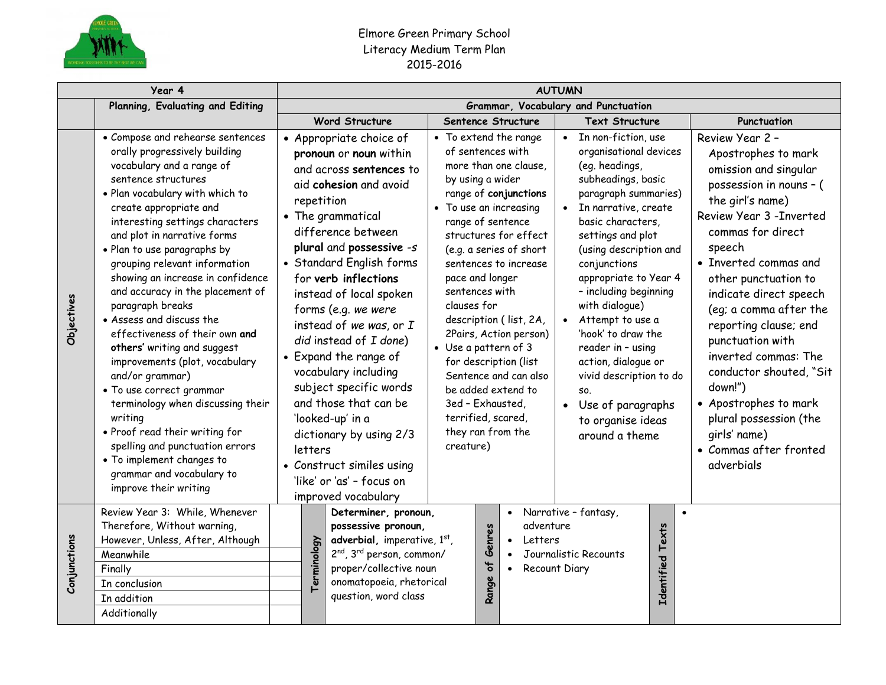

## Elmore Green Primary School Literacy Medium Term Plan 2015-2016

| Year 4       |                                                                                                                                                                                                                                                                                                                                                                                                                                                                                                                                                                                                                                                                                                                                                                                                         |  | <b>AUTUMN</b>                       |                                                                                                                                                                                                                                                                                                                                                                                                                                                                                                                                                                              |                                                                                                                                                                                                                                              |                              |                                                                                                                                                                                                                                                                                  |                                                                                                                                                                                                                                                                                                                                                                                                                                                                                       |                     |                                                                                                                                                                                                                                                                                                                                                                                                                                                                                                      |  |  |  |
|--------------|---------------------------------------------------------------------------------------------------------------------------------------------------------------------------------------------------------------------------------------------------------------------------------------------------------------------------------------------------------------------------------------------------------------------------------------------------------------------------------------------------------------------------------------------------------------------------------------------------------------------------------------------------------------------------------------------------------------------------------------------------------------------------------------------------------|--|-------------------------------------|------------------------------------------------------------------------------------------------------------------------------------------------------------------------------------------------------------------------------------------------------------------------------------------------------------------------------------------------------------------------------------------------------------------------------------------------------------------------------------------------------------------------------------------------------------------------------|----------------------------------------------------------------------------------------------------------------------------------------------------------------------------------------------------------------------------------------------|------------------------------|----------------------------------------------------------------------------------------------------------------------------------------------------------------------------------------------------------------------------------------------------------------------------------|---------------------------------------------------------------------------------------------------------------------------------------------------------------------------------------------------------------------------------------------------------------------------------------------------------------------------------------------------------------------------------------------------------------------------------------------------------------------------------------|---------------------|------------------------------------------------------------------------------------------------------------------------------------------------------------------------------------------------------------------------------------------------------------------------------------------------------------------------------------------------------------------------------------------------------------------------------------------------------------------------------------------------------|--|--|--|
|              | Planning, Evaluating and Editing                                                                                                                                                                                                                                                                                                                                                                                                                                                                                                                                                                                                                                                                                                                                                                        |  | Grammar, Vocabulary and Punctuation |                                                                                                                                                                                                                                                                                                                                                                                                                                                                                                                                                                              |                                                                                                                                                                                                                                              |                              |                                                                                                                                                                                                                                                                                  |                                                                                                                                                                                                                                                                                                                                                                                                                                                                                       |                     |                                                                                                                                                                                                                                                                                                                                                                                                                                                                                                      |  |  |  |
|              |                                                                                                                                                                                                                                                                                                                                                                                                                                                                                                                                                                                                                                                                                                                                                                                                         |  |                                     | <b>Word Structure</b>                                                                                                                                                                                                                                                                                                                                                                                                                                                                                                                                                        |                                                                                                                                                                                                                                              |                              | Sentence Structure                                                                                                                                                                                                                                                               | <b>Text Structure</b>                                                                                                                                                                                                                                                                                                                                                                                                                                                                 |                     | Punctuation                                                                                                                                                                                                                                                                                                                                                                                                                                                                                          |  |  |  |
| Objectives   | • Compose and rehearse sentences<br>orally progressively building<br>vocabulary and a range of<br>sentence structures<br>. Plan vocabulary with which to<br>create appropriate and<br>interesting settings characters<br>and plot in narrative forms<br>· Plan to use paragraphs by<br>grouping relevant information<br>showing an increase in confidence<br>and accuracy in the placement of<br>paragraph breaks<br>• Assess and discuss the<br>effectiveness of their own and<br>others' writing and suggest<br>improvements (plot, vocabulary<br>and/or grammar)<br>• To use correct grammar<br>terminology when discussing their<br>writing<br>• Proof read their writing for<br>spelling and punctuation errors<br>• To implement changes to<br>grammar and vocabulary to<br>improve their writing |  | repetition<br>letters               | • Appropriate choice of<br>pronoun or noun within<br>and across sentences to<br>aid cohesion and avoid<br>• The grammatical<br>difference between<br>plural and possessive -s<br>• Standard English forms<br>for verb inflections<br>instead of local spoken<br>forms (e.g. we were<br>instead of we was, or I<br>did instead of I done)<br>• Expand the range of<br>vocabulary including<br>subject specific words<br>and those that can be<br>'looked-up' in a<br>dictionary by using 2/3<br>• Construct similes using<br>'like' or 'as' - focus on<br>improved vocabulary | of sentences with<br>by using a wider<br>• To use an increasing<br>range of sentence<br>pace and longer<br>sentences with<br>clauses for<br>• Use a pattern of 3<br>3ed - Exhausted,<br>terrified, scared,<br>they ran from the<br>creature) |                              | • To extend the range<br>more than one clause.<br>range of conjunctions<br>structures for effect<br>(e.g. a series of short<br>sentences to increase<br>description (list, 2A,<br>2Pairs, Action person)<br>for description (list<br>Sentence and can also<br>be added extend to | In non-fiction, use<br>organisational devices<br>(eg. headings,<br>subheadings, basic<br>paragraph summaries)<br>• In narrative, create<br>basic characters,<br>settings and plot<br>(using description and<br>conjunctions<br>appropriate to Year 4<br>- including beginning<br>with dialogue)<br>Attempt to use a<br>'hook' to draw the<br>reader in - using<br>action, dialogue or<br>vivid description to do<br>SO.<br>• Use of paragraphs<br>to organise ideas<br>around a theme |                     | Review Year 2 -<br>Apostrophes to mark<br>omission and singular<br>possession in nouns - (<br>the girl's name)<br>Review Year 3 - Inverted<br>commas for direct<br>speech<br>• Inverted commas and<br>other punctuation to<br>indicate direct speech<br>(eg; a comma after the<br>reporting clause; end<br>punctuation with<br>inverted commas: The<br>conductor shouted, "Sit<br>down!")<br>• Apostrophes to mark<br>plural possession (the<br>girls' name)<br>• Commas after fronted<br>adverbials |  |  |  |
| Conjunctions | Review Year 3: While, Whenever<br>Therefore, Without warning,<br>However, Unless, After, Although<br>Meanwhile<br>Finally                                                                                                                                                                                                                                                                                                                                                                                                                                                                                                                                                                                                                                                                               |  | Terminology                         | Determiner, pronoun,<br>possessive pronoun,<br>adverbial, imperative, 1st,<br>2 <sup>nd</sup> , 3 <sup>rd</sup> person, common/<br>proper/collective noun                                                                                                                                                                                                                                                                                                                                                                                                                    |                                                                                                                                                                                                                                              | Genres<br>$\frac{1}{\sigma}$ | $\bullet$<br>adventure<br>Letters<br>$\bullet$<br>$\bullet$                                                                                                                                                                                                                      | Narrative - fantasy,<br>Journalistic Recounts<br>Recount Diary                                                                                                                                                                                                                                                                                                                                                                                                                        | Texts<br>Identified |                                                                                                                                                                                                                                                                                                                                                                                                                                                                                                      |  |  |  |
|              | In conclusion                                                                                                                                                                                                                                                                                                                                                                                                                                                                                                                                                                                                                                                                                                                                                                                           |  |                                     | onomatopoeia, rhetorical                                                                                                                                                                                                                                                                                                                                                                                                                                                                                                                                                     |                                                                                                                                                                                                                                              | Range                        |                                                                                                                                                                                                                                                                                  |                                                                                                                                                                                                                                                                                                                                                                                                                                                                                       |                     |                                                                                                                                                                                                                                                                                                                                                                                                                                                                                                      |  |  |  |
|              | In addition                                                                                                                                                                                                                                                                                                                                                                                                                                                                                                                                                                                                                                                                                                                                                                                             |  |                                     | question, word class                                                                                                                                                                                                                                                                                                                                                                                                                                                                                                                                                         |                                                                                                                                                                                                                                              |                              |                                                                                                                                                                                                                                                                                  |                                                                                                                                                                                                                                                                                                                                                                                                                                                                                       |                     |                                                                                                                                                                                                                                                                                                                                                                                                                                                                                                      |  |  |  |
|              | Additionally                                                                                                                                                                                                                                                                                                                                                                                                                                                                                                                                                                                                                                                                                                                                                                                            |  |                                     |                                                                                                                                                                                                                                                                                                                                                                                                                                                                                                                                                                              |                                                                                                                                                                                                                                              |                              |                                                                                                                                                                                                                                                                                  |                                                                                                                                                                                                                                                                                                                                                                                                                                                                                       |                     |                                                                                                                                                                                                                                                                                                                                                                                                                                                                                                      |  |  |  |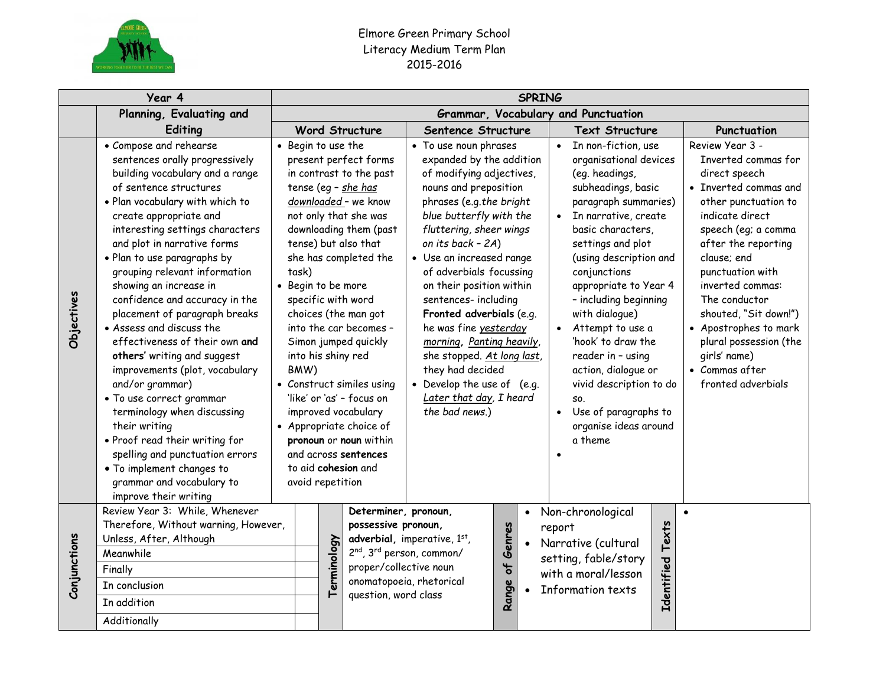

## Elmore Green Primary School Literacy Medium Term Plan 2015-2016

| Year 4       |                                                                                                                                                                                                                                                                                                                                                                                                                                                                                                                                                                                                                                                                                                                                                                                                         |                                     | <b>SPRING</b>                                           |             |                                                                                                                                                                                                                                                                                                                                                                                                                                                                                                                                      |  |                                                                                                                                                                                                                                                                                                                                                                                                                                                                                                                                        |                                 |                        |        |                                                                                                                                                                                                                                                                                                                                                                                                                                                                                         |                            |                                                                                                                                                                                                                                                                                                                                                                                       |  |
|--------------|---------------------------------------------------------------------------------------------------------------------------------------------------------------------------------------------------------------------------------------------------------------------------------------------------------------------------------------------------------------------------------------------------------------------------------------------------------------------------------------------------------------------------------------------------------------------------------------------------------------------------------------------------------------------------------------------------------------------------------------------------------------------------------------------------------|-------------------------------------|---------------------------------------------------------|-------------|--------------------------------------------------------------------------------------------------------------------------------------------------------------------------------------------------------------------------------------------------------------------------------------------------------------------------------------------------------------------------------------------------------------------------------------------------------------------------------------------------------------------------------------|--|----------------------------------------------------------------------------------------------------------------------------------------------------------------------------------------------------------------------------------------------------------------------------------------------------------------------------------------------------------------------------------------------------------------------------------------------------------------------------------------------------------------------------------------|---------------------------------|------------------------|--------|-----------------------------------------------------------------------------------------------------------------------------------------------------------------------------------------------------------------------------------------------------------------------------------------------------------------------------------------------------------------------------------------------------------------------------------------------------------------------------------------|----------------------------|---------------------------------------------------------------------------------------------------------------------------------------------------------------------------------------------------------------------------------------------------------------------------------------------------------------------------------------------------------------------------------------|--|
|              | Planning, Evaluating and                                                                                                                                                                                                                                                                                                                                                                                                                                                                                                                                                                                                                                                                                                                                                                                | Grammar, Vocabulary and Punctuation |                                                         |             |                                                                                                                                                                                                                                                                                                                                                                                                                                                                                                                                      |  |                                                                                                                                                                                                                                                                                                                                                                                                                                                                                                                                        |                                 |                        |        |                                                                                                                                                                                                                                                                                                                                                                                                                                                                                         |                            |                                                                                                                                                                                                                                                                                                                                                                                       |  |
|              | Editing                                                                                                                                                                                                                                                                                                                                                                                                                                                                                                                                                                                                                                                                                                                                                                                                 |                                     |                                                         |             | <b>Word Structure</b>                                                                                                                                                                                                                                                                                                                                                                                                                                                                                                                |  | Sentence Structure                                                                                                                                                                                                                                                                                                                                                                                                                                                                                                                     |                                 |                        |        | <b>Text Structure</b>                                                                                                                                                                                                                                                                                                                                                                                                                                                                   |                            | Punctuation                                                                                                                                                                                                                                                                                                                                                                           |  |
| Objectives   | • Compose and rehearse<br>sentences orally progressively<br>building vocabulary and a range<br>of sentence structures<br>· Plan vocabulary with which to<br>create appropriate and<br>interesting settings characters<br>and plot in narrative forms<br>. Plan to use paragraphs by<br>grouping relevant information<br>showing an increase in<br>confidence and accuracy in the<br>placement of paragraph breaks<br>• Assess and discuss the<br>effectiveness of their own and<br>others' writing and suggest<br>improvements (plot, vocabulary<br>and/or grammar)<br>• To use correct grammar<br>terminology when discussing<br>their writing<br>. Proof read their writing for<br>spelling and punctuation errors<br>• To implement changes to<br>grammar and vocabulary to<br>improve their writing |                                     | • Begin to use the<br>task)<br>BMW)<br>avoid repetition |             | present perfect forms<br>in contrast to the past<br>tense (eg - she has<br>downloaded - we know<br>not only that she was<br>downloading them (past<br>tense) but also that<br>she has completed the<br>• Begin to be more<br>specific with word<br>choices (the man got<br>into the car becomes -<br>Simon jumped quickly<br>into his shiny red<br>• Construct similes using<br>'like' or 'as' - focus on<br>improved vocabulary<br>• Appropriate choice of<br>pronoun or noun within<br>and across sentences<br>to aid cohesion and |  | • To use noun phrases<br>expanded by the addition<br>of modifying adjectives,<br>nouns and preposition<br>phrases (e.g.the bright<br>blue butterfly with the<br>fluttering, sheer wings<br>on its back - 2A)<br>• Use an increased range<br>of adverbials focussing<br>on their position within<br>sentences- including<br>Fronted adverbials (e.g.<br>he was fine yesterday<br>morning, Panting heavily,<br>she stopped. At long last,<br>they had decided<br>• Develop the use of (e.g.<br>Later that day, I heard<br>the bad news.) |                                 |                        |        | • In non-fiction, use<br>organisational devices<br>(eg. headings,<br>subheadings, basic<br>paragraph summaries)<br>• In narrative, create<br>basic characters,<br>settings and plot<br>(using description and<br>conjunctions<br>appropriate to Year 4<br>- including beginning<br>with dialogue)<br>• Attempt to use a<br>'hook' to draw the<br>reader in - using<br>action, dialogue or<br>vivid description to do<br>SO.<br>Use of paragraphs to<br>organise ideas around<br>a theme |                            | Review Year 3 -<br>Inverted commas for<br>direct speech<br>• Inverted commas and<br>other punctuation to<br>indicate direct<br>speech (eg; a comma<br>after the reporting<br>clause; end<br>punctuation with<br>inverted commas:<br>The conductor<br>shouted, "Sit down!")<br>• Apostrophes to mark<br>plural possession (the<br>girls' name)<br>• Commas after<br>fronted adverbials |  |
| Conjunctions | Review Year 3: While, Whenever<br>Therefore, Without warning, However,<br>Unless, After, Although<br>Meanwhile<br>Finally<br>In conclusion<br>In addition<br>Additionally                                                                                                                                                                                                                                                                                                                                                                                                                                                                                                                                                                                                                               |                                     |                                                         | Terminology | Determiner, pronoun,<br>possessive pronoun,<br>adverbial, imperative, 1st,<br>2 <sup>nd</sup> , 3 <sup>rd</sup> person, common/<br>proper/collective noun<br>onomatopoeia, rhetorical<br>question, word class                                                                                                                                                                                                                                                                                                                        |  |                                                                                                                                                                                                                                                                                                                                                                                                                                                                                                                                        | Genres<br>$\mathbf{b}$<br>Range | $\bullet$<br>$\bullet$ | report | Non-chronological<br>Narrative (cultural<br>setting, fable/story<br>with a moral/lesson<br>Information texts                                                                                                                                                                                                                                                                                                                                                                            | Texts<br><b>Identified</b> | $\bullet$                                                                                                                                                                                                                                                                                                                                                                             |  |